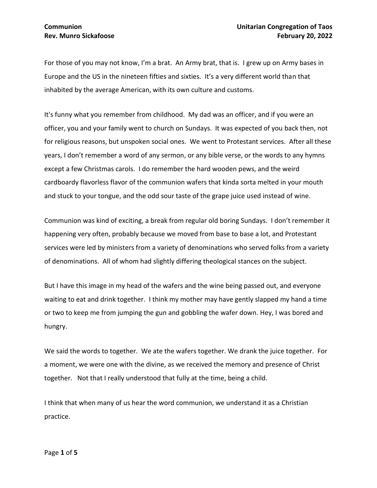For those of you may not know, I'm a brat. An Army brat, that is. I grew up on Army bases in Europe and the US in the nineteen fifties and sixties. It's a very different world than that inhabited by the average American, with its own culture and customs.

It's funny what you remember from childhood. My dad was an officer, and if you were an officer, you and your family went to church on Sundays. It was expected of you back then, not for religious reasons, but unspoken social ones. We went to Protestant services. After all these years, I don't remember a word of any sermon, or any bible verse, or the words to any hymns except a few Christmas carols. I do remember the hard wooden pews, and the weird cardboardy flavorless flavor of the communion wafers that kinda sorta melted in your mouth and stuck to your tongue, and the odd sour taste of the grape juice used instead of wine.

Communion was kind of exciting, a break from regular old boring Sundays. I don't remember it happening very often, probably because we moved from base to base a lot, and Protestant services were led by ministers from a variety of denominations who served folks from a variety of denominations. All of whom had slightly differing theological stances on the subject.

But I have this image in my head of the wafers and the wine being passed out, and everyone waiting to eat and drink together. I think my mother may have gently slapped my hand a time or two to keep me from jumping the gun and gobbling the wafer down. Hey, I was bored and hungry.

We said the words to together. We ate the wafers together. We drank the juice together. For a moment, we were one with the divine, as we received the memory and presence of Christ together. Not that I really understood that fully at the time, being a child.

I think that when many of us hear the word communion, we understand it as a Christian practice.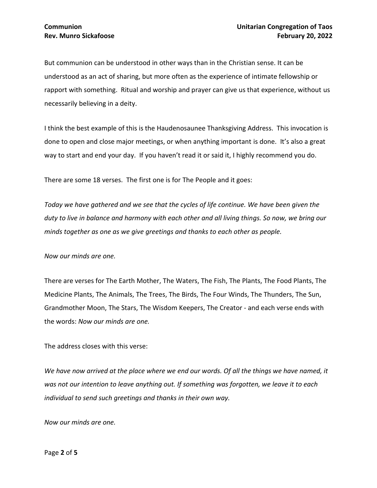But communion can be understood in other ways than in the Christian sense. It can be understood as an act of sharing, but more often as the experience of intimate fellowship or rapport with something. Ritual and worship and prayer can give us that experience, without us necessarily believing in a deity.

I think the best example of this is the Haudenosaunee Thanksgiving Address. This invocation is done to open and close major meetings, or when anything important is done. It's also a great way to start and end your day. If you haven't read it or said it, I highly recommend you do.

There are some 18 verses. The first one is for The People and it goes:

*Today we have gathered and we see that the cycles of life continue. We have been given the duty to live in balance and harmony with each other and all living things. So now, we bring our minds together as one as we give greetings and thanks to each other as people.* 

*Now our minds are one.*

There are verses for The Earth Mother, The Waters, The Fish, The Plants, The Food Plants, The Medicine Plants, The Animals, The Trees, The Birds, The Four Winds, The Thunders, The Sun, Grandmother Moon, The Stars, The Wisdom Keepers, The Creator - and each verse ends with the words: *Now our minds are one.*

The address closes with this verse:

*We have now arrived at the place where we end our words. Of all the things we have named, it was not our intention to leave anything out. If something was forgotten, we leave it to each individual to send such greetings and thanks in their own way.* 

*Now our minds are one.*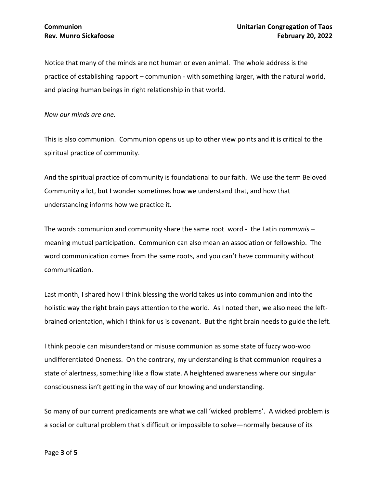Notice that many of the minds are not human or even animal. The whole address is the practice of establishing rapport – communion - with something larger, with the natural world, and placing human beings in right relationship in that world.

*Now our minds are one.*

This is also communion. Communion opens us up to other view points and it is critical to the spiritual practice of community.

And the spiritual practice of community is foundational to our faith. We use the term Beloved Community a lot, but I wonder sometimes how we understand that, and how that understanding informs how we practice it.

The words communion and community share the same root word - the Latin *communis* – meaning mutual participation. Communion can also mean an association or fellowship. The word communication comes from the same roots, and you can't have community without communication.

Last month, I shared how I think blessing the world takes us into communion and into the holistic way the right brain pays attention to the world. As I noted then, we also need the leftbrained orientation, which I think for us is covenant. But the right brain needs to guide the left.

I think people can misunderstand or misuse communion as some state of fuzzy woo-woo undifferentiated Oneness. On the contrary, my understanding is that communion requires a state of alertness, something like a flow state. A heightened awareness where our singular consciousness isn't getting in the way of our knowing and understanding.

So many of our current predicaments are what we call 'wicked problems'. A wicked problem is a social or cultural problem that's difficult or impossible to solve—normally because of its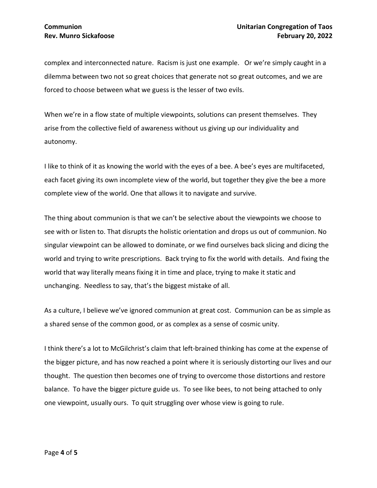complex and interconnected nature. Racism is just one example. Or we're simply caught in a dilemma between two not so great choices that generate not so great outcomes, and we are forced to choose between what we guess is the lesser of two evils.

When we're in a flow state of multiple viewpoints, solutions can present themselves. They arise from the collective field of awareness without us giving up our individuality and autonomy.

I like to think of it as knowing the world with the eyes of a bee. A bee's eyes are multifaceted, each facet giving its own incomplete view of the world, but together they give the bee a more complete view of the world. One that allows it to navigate and survive.

The thing about communion is that we can't be selective about the viewpoints we choose to see with or listen to. That disrupts the holistic orientation and drops us out of communion. No singular viewpoint can be allowed to dominate, or we find ourselves back slicing and dicing the world and trying to write prescriptions. Back trying to fix the world with details. And fixing the world that way literally means fixing it in time and place, trying to make it static and unchanging. Needless to say, that's the biggest mistake of all.

As a culture, I believe we've ignored communion at great cost. Communion can be as simple as a shared sense of the common good, or as complex as a sense of cosmic unity.

I think there's a lot to McGilchrist's claim that left-brained thinking has come at the expense of the bigger picture, and has now reached a point where it is seriously distorting our lives and our thought. The question then becomes one of trying to overcome those distortions and restore balance. To have the bigger picture guide us. To see like bees, to not being attached to only one viewpoint, usually ours. To quit struggling over whose view is going to rule.